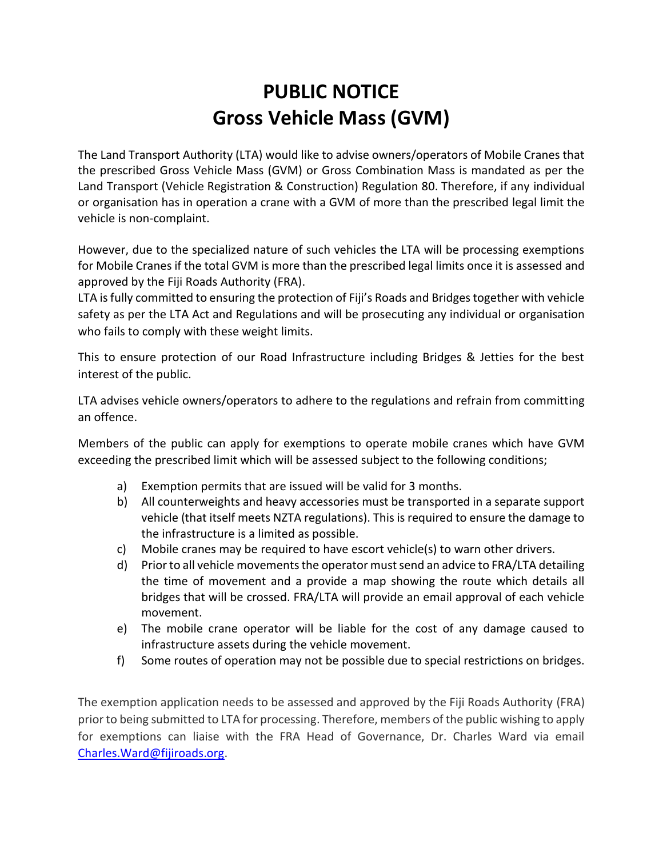## **PUBLIC NOTICE Gross Vehicle Mass (GVM)**

The Land Transport Authority (LTA) would like to advise owners/operators of Mobile Cranes that the prescribed Gross Vehicle Mass (GVM) or Gross Combination Mass is mandated as per the Land Transport (Vehicle Registration & Construction) Regulation 80. Therefore, if any individual or organisation has in operation a crane with a GVM of more than the prescribed legal limit the vehicle is non-complaint.

However, due to the specialized nature of such vehicles the LTA will be processing exemptions for Mobile Cranes if the total GVM is more than the prescribed legal limits once it is assessed and approved by the Fiji Roads Authority (FRA).

LTA is fully committed to ensuring the protection of Fiji's Roads and Bridges together with vehicle safety as per the LTA Act and Regulations and will be prosecuting any individual or organisation who fails to comply with these weight limits.

This to ensure protection of our Road Infrastructure including Bridges & Jetties for the best interest of the public.

LTA advises vehicle owners/operators to adhere to the regulations and refrain from committing an offence.

Members of the public can apply for exemptions to operate mobile cranes which have GVM exceeding the prescribed limit which will be assessed subject to the following conditions;

- a) Exemption permits that are issued will be valid for 3 months.
- b) All counterweights and heavy accessories must be transported in a separate support vehicle (that itself meets NZTA regulations). This is required to ensure the damage to the infrastructure is a limited as possible.
- c) Mobile cranes may be required to have escort vehicle(s) to warn other drivers.
- d) Prior to all vehicle movements the operator must send an advice to FRA/LTA detailing the time of movement and a provide a map showing the route which details all bridges that will be crossed. FRA/LTA will provide an email approval of each vehicle movement.
- e) The mobile crane operator will be liable for the cost of any damage caused to infrastructure assets during the vehicle movement.
- f) Some routes of operation may not be possible due to special restrictions on bridges.

The exemption application needs to be assessed and approved by the Fiji Roads Authority (FRA) prior to being submitted to LTA for processing. Therefore, members of the public wishing to apply for exemptions can liaise with the FRA Head of Governance, Dr. Charles Ward via email [Charles.Ward@fijiroads.org.](mailto:Charles.Ward@fijiroads.org)